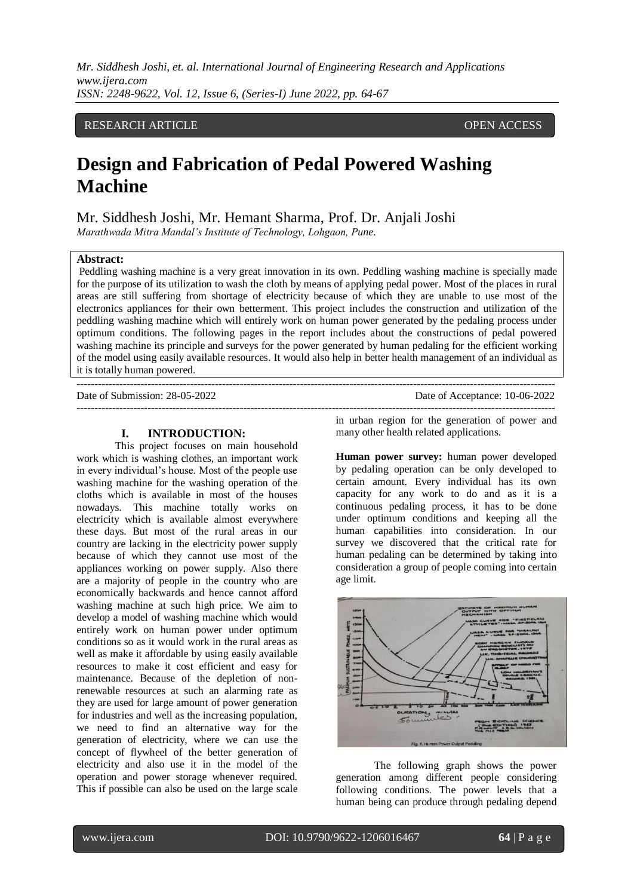*Mr. Siddhesh Joshi, et. al. International Journal of Engineering Research and Applications www.ijera.com ISSN: 2248-9622, Vol. 12, Issue 6, (Series-I) June 2022, pp. 64-67*

# RESEARCH ARTICLE **CONSERVERS** OPEN ACCESS

# **Design and Fabrication of Pedal Powered Washing Machine**

Mr. Siddhesh Joshi, Mr. Hemant Sharma, Prof. Dr. Anjali Joshi *Marathwada Mitra Mandal's Institute of Technology, Lohgaon, Pune.*

### **Abstract:**

Peddling washing machine is a very great innovation in its own. Peddling washing machine is specially made for the purpose of its utilization to wash the cloth by means of applying pedal power. Most of the places in rural areas are still suffering from shortage of electricity because of which they are unable to use most of the electronics appliances for their own betterment. This project includes the construction and utilization of the peddling washing machine which will entirely work on human power generated by the pedaling process under optimum conditions. The following pages in the report includes about the constructions of pedal powered washing machine its principle and surveys for the power generated by human pedaling for the efficient working of the model using easily available resources. It would also help in better health management of an individual as it is totally human powered.

 $-1.1$ 

Date of Submission: 28-05-2022 Date of Acceptance: 10-06-2022 ---------------------------------------------------------------------------------------------------------------------------------------

#### **I. INTRODUCTION:**

This project focuses on main household work which is washing clothes, an important work in every individual's house. Most of the people use washing machine for the washing operation of the cloths which is available in most of the houses nowadays. This machine totally works on electricity which is available almost everywhere these days. But most of the rural areas in our country are lacking in the electricity power supply because of which they cannot use most of the appliances working on power supply. Also there are a majority of people in the country who are economically backwards and hence cannot afford washing machine at such high price. We aim to develop a model of washing machine which would entirely work on human power under optimum conditions so as it would work in the rural areas as well as make it affordable by using easily available resources to make it cost efficient and easy for maintenance. Because of the depletion of nonrenewable resources at such an alarming rate as they are used for large amount of power generation for industries and well as the increasing population, we need to find an alternative way for the generation of electricity, where we can use the concept of flywheel of the better generation of electricity and also use it in the model of the operation and power storage whenever required. This if possible can also be used on the large scale

in urban region for the generation of power and many other health related applications.

**Human power survey:** human power developed by pedaling operation can be only developed to certain amount. Every individual has its own capacity for any work to do and as it is a continuous pedaling process, it has to be done under optimum conditions and keeping all the human capabilities into consideration. In our survey we discovered that the critical rate for human pedaling can be determined by taking into consideration a group of people coming into certain age limit.



The following graph shows the power generation among different people considering following conditions. The power levels that a human being can produce through pedaling depend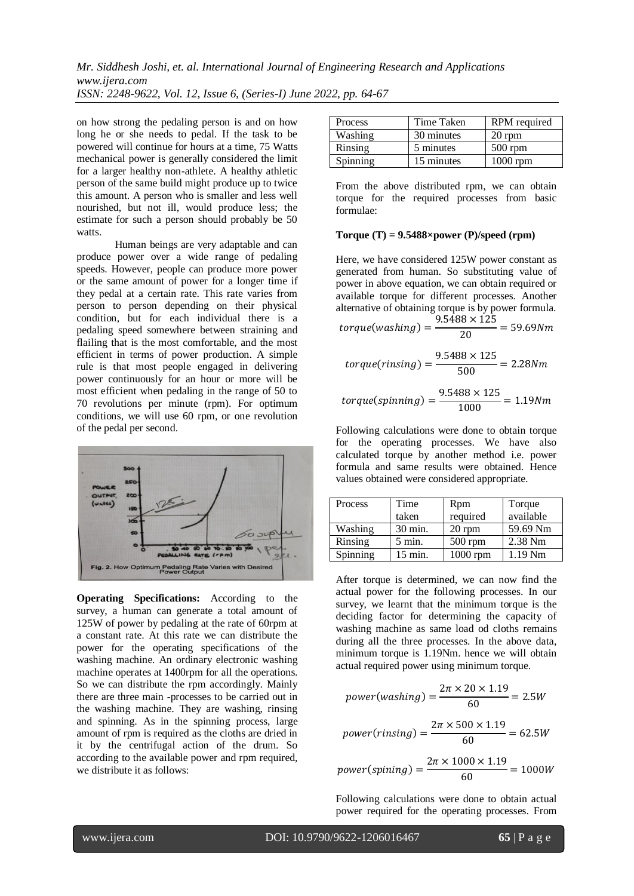on how strong the pedaling person is and on how long he or she needs to pedal. If the task to be powered will continue for hours at a time, 75 Watts mechanical power is generally considered the limit for a larger healthy non-athlete. A healthy athletic person of the same build might produce up to twice this amount. A person who is smaller and less well nourished, but not ill, would produce less; the estimate for such a person should probably be 50 watts.

Human beings are very adaptable and can produce power over a wide range of pedaling speeds. However, people can produce more power or the same amount of power for a longer time if they pedal at a certain rate. This rate varies from person to person depending on their physical condition, but for each individual there is a pedaling speed somewhere between straining and flailing that is the most comfortable, and the most efficient in terms of power production. A simple rule is that most people engaged in delivering power continuously for an hour or more will be most efficient when pedaling in the range of 50 to 70 revolutions per minute (rpm). For optimum conditions, we will use 60 rpm, or one revolution of the pedal per second.



**Operating Specifications:** According to the survey, a human can generate a total amount of 125W of power by pedaling at the rate of 60rpm at a constant rate. At this rate we can distribute the power for the operating specifications of the washing machine. An ordinary electronic washing machine operates at 1400rpm for all the operations. So we can distribute the rpm accordingly. Mainly there are three main -processes to be carried out in the washing machine. They are washing, rinsing and spinning. As in the spinning process, large amount of rpm is required as the cloths are dried in it by the centrifugal action of the drum. So according to the available power and rpm required, we distribute it as follows:

| <b>Process</b> | Time Taken | RPM required |  |
|----------------|------------|--------------|--|
| Washing        | 30 minutes | 20 rpm       |  |
| Rinsing        | 5 minutes  | $500$ rpm    |  |
| Spinning       | 15 minutes | $1000$ rpm   |  |

From the above distributed rpm, we can obtain torque for the required processes from basic formulae:

## **Torque (T) = 9.5488×power (P)/speed (rpm)**

Here, we have considered 125W power constant as generated from human. So substituting value of power in above equation, we can obtain required or available torque for different processes. Another alternative of obtaining torque is by power formula.

$$
torque(washing) = \frac{9.5488 \times 125}{20} = 59.69Nm
$$

$$
torque(rinsing) = \frac{9.5488 \times 125}{500} = 2.28Nm
$$

$$
torque(spinning) = \frac{9.5488 \times 125}{1000} = 1.19 Nm
$$

Following calculations were done to obtain torque for the operating processes. We have also calculated torque by another method i.e. power formula and same results were obtained. Hence values obtained were considered appropriate.

| Process  | Time             | Rpm        | Torque             |
|----------|------------------|------------|--------------------|
|          | taken            | required   | available          |
| Washing  | 30 min.          | $20$ rpm   | 59.69 Nm           |
| Rinsing  | $5 \text{ min.}$ | $500$ rpm  | $2.38$ Nm          |
| Spinning | 15 min.          | $1000$ rpm | 1.19 <sub>Nm</sub> |

After torque is determined, we can now find the actual power for the following processes. In our survey, we learnt that the minimum torque is the deciding factor for determining the capacity of washing machine as same load od cloths remains during all the three processes. In the above data, minimum torque is 1.19Nm. hence we will obtain actual required power using minimum torque.

power(washing) = 
$$
\frac{2\pi \times 20 \times 1.19}{60} = 2.5W
$$

power(rinsing) = 
$$
\frac{2\pi \times 500 \times 1.19}{60} = 62.5W
$$

 $power(spining) = \frac{2}{3}$ 6

Following calculations were done to obtain actual power required for the operating processes. From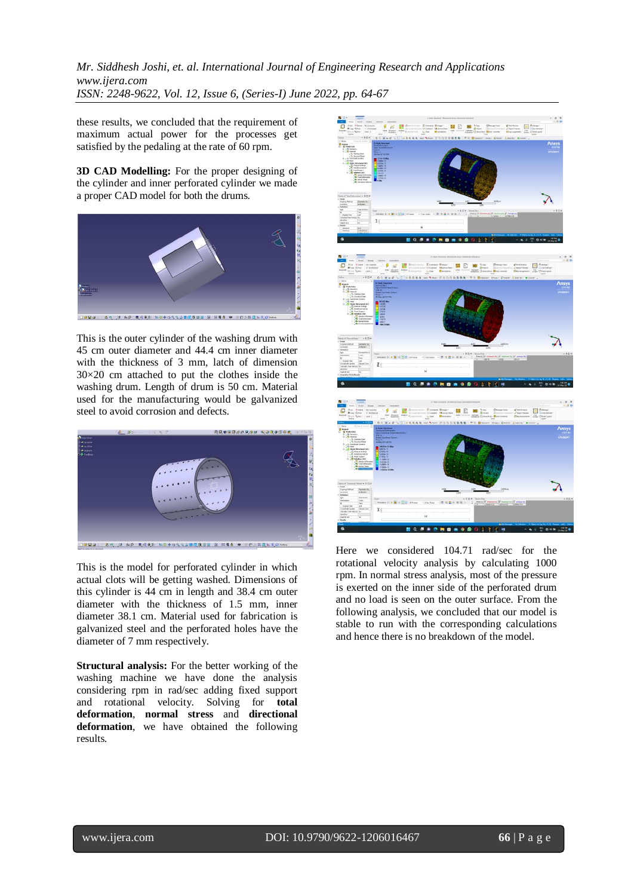*Mr. Siddhesh Joshi, et. al. International Journal of Engineering Research and Applications www.ijera.com ISSN: 2248-9622, Vol. 12, Issue 6, (Series-I) June 2022, pp. 64-67*

these results, we concluded that the requirement of maximum actual power for the processes get satisfied by the pedaling at the rate of 60 rpm.

**3D CAD Modelling:** For the proper designing of the cylinder and inner perforated cylinder we made a proper CAD model for both the drums.



This is the outer cylinder of the washing drum with 45 cm outer diameter and 44.4 cm inner diameter with the thickness of 3 mm, latch of dimension 30×20 cm attached to put the clothes inside the washing drum. Length of drum is 50 cm. Material used for the manufacturing would be galvanized steel to avoid corrosion and defects.



This is the model for perforated cylinder in which actual clots will be getting washed. Dimensions of this cylinder is 44 cm in length and 38.4 cm outer diameter with the thickness of 1.5 mm, inner diameter 38.1 cm. Material used for fabrication is galvanized steel and the perforated holes have the diameter of 7 mm respectively.

**Structural analysis:** For the better working of the washing machine we have done the analysis considering rpm in rad/sec adding fixed support and rotational velocity. Solving for **total deformation**, **normal stress** and **directional deformation**, we have obtained the following results.



Here we considered 104.71 rad/sec for the rotational velocity analysis by calculating 1000 rpm. In normal stress analysis, most of the pressure is exerted on the inner side of the perforated drum and no load is seen on the outer surface. From the following analysis, we concluded that our model is stable to run with the corresponding calculations and hence there is no breakdown of the model.